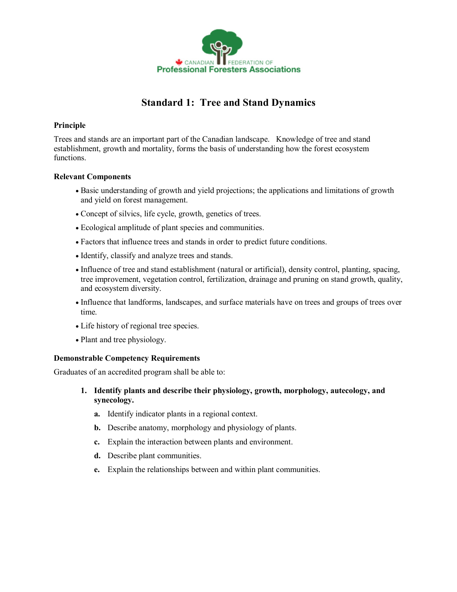

## **Standard 1: Tree and Stand Dynamics**

## **Principle**

Trees and stands are an important part of the Canadian landscape. Knowledge of tree and stand establishment, growth and mortality, forms the basis of understanding how the forest ecosystem functions.

## **Relevant Components**

- · Basic understanding of growth and yield projections; the applications and limitations of growth and yield on forest management.
- · Concept of silvics, life cycle, growth, genetics of trees.
- · Ecological amplitude of plant species and communities.
- · Factors that influence trees and stands in order to predict future conditions.
- · Identify, classify and analyze trees and stands.
- · Influence of tree and stand establishment (natural or artificial), density control, planting, spacing, tree improvement, vegetation control, fertilization, drainage and pruning on stand growth, quality, and ecosystem diversity.
- · Influence that landforms, landscapes, and surface materials have on trees and groups of trees over time.
- · Life history of regional tree species.
- · Plant and tree physiology.

## **Demonstrable Competency Requirements**

Graduates of an accredited program shall be able to:

- **1. Identify plants and describe their physiology, growth, morphology, autecology, and synecology.**
	- **a.** Identify indicator plants in a regional context.
	- **b.** Describe anatomy, morphology and physiology of plants.
	- **c.** Explain the interaction between plants and environment.
	- **d.** Describe plant communities.
	- **e.** Explain the relationships between and within plant communities.